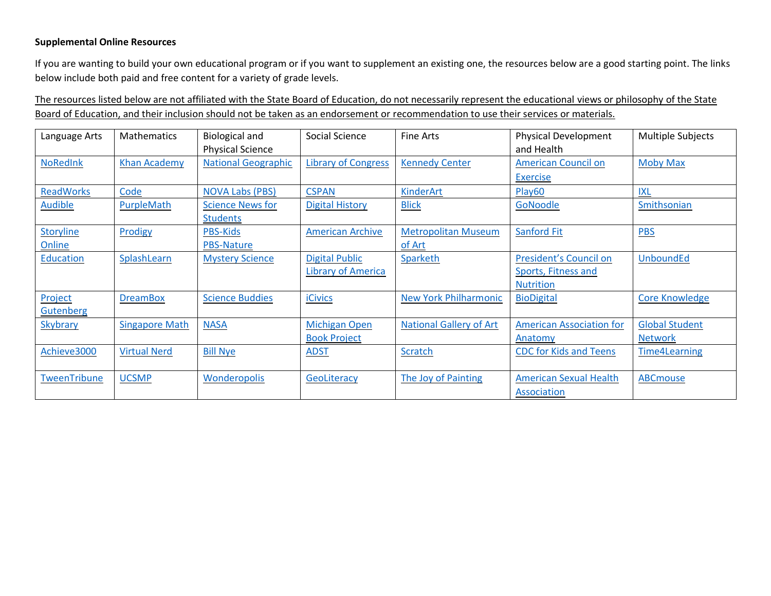## **Supplemental Online Resources**

If you are wanting to build your own educational program or if you want to supplement an existing one, the resources below are a good starting point. The links below include both paid and free content for a variety of grade levels.

The resources listed below are not affiliated with the State Board of Education, do not necessarily represent the educational views or philosophy of the State Board of Education, and their inclusion should not be taken as an endorsement or recommendation to use their services or materials.

| Language Arts              | <b>Mathematics</b>    | <b>Biological and</b><br><b>Physical Science</b> | Social Science                                     | Fine Arts                            | <b>Physical Development</b><br>and Health                         | <b>Multiple Subjects</b>                |
|----------------------------|-----------------------|--------------------------------------------------|----------------------------------------------------|--------------------------------------|-------------------------------------------------------------------|-----------------------------------------|
| <b>NoRedInk</b>            | <b>Khan Academy</b>   | <b>National Geographic</b>                       | <b>Library of Congress</b>                         | <b>Kennedy Center</b>                | <b>American Council on</b><br><b>Exercise</b>                     | <b>Moby Max</b>                         |
| <b>ReadWorks</b>           | Code                  | <b>NOVA Labs (PBS)</b>                           | <b>CSPAN</b>                                       | KinderArt                            | Play60                                                            | <b>IXL</b>                              |
| <b>Audible</b>             | PurpleMath            | <b>Science News for</b><br><b>Students</b>       | <b>Digital History</b>                             | <b>Blick</b>                         | GoNoodle                                                          | Smithsonian                             |
| <b>Storyline</b><br>Online | Prodigy               | <b>PBS-Kids</b><br><b>PBS-Nature</b>             | <b>American Archive</b>                            | <b>Metropolitan Museum</b><br>of Art | Sanford Fit                                                       | <b>PBS</b>                              |
| Education                  | SplashLearn           | <b>Mystery Science</b>                           | <b>Digital Public</b><br><b>Library of America</b> | Sparketh                             | President's Council on<br>Sports, Fitness and<br><b>Nutrition</b> | <b>UnboundEd</b>                        |
| Project<br>Gutenberg       | <b>DreamBox</b>       | <b>Science Buddies</b>                           | <b>iCivics</b>                                     | <b>New York Philharmonic</b>         | <b>BioDigital</b>                                                 | <b>Core Knowledge</b>                   |
| Skybrary                   | <b>Singapore Math</b> | <b>NASA</b>                                      | <b>Michigan Open</b><br><b>Book Project</b>        | <b>National Gallery of Art</b>       | <b>American Association for</b><br>Anatomy                        | <b>Global Student</b><br><b>Network</b> |
| Achieve3000                | <b>Virtual Nerd</b>   | <b>Bill Nye</b>                                  | <b>ADST</b>                                        | <b>Scratch</b>                       | <b>CDC for Kids and Teens</b>                                     | <b>Time4Learning</b>                    |
| TweenTribune               | <b>UCSMP</b>          | Wonderopolis                                     | GeoLiteracy                                        | The Joy of Painting                  | <b>American Sexual Health</b><br>Association                      | <b>ABCmouse</b>                         |